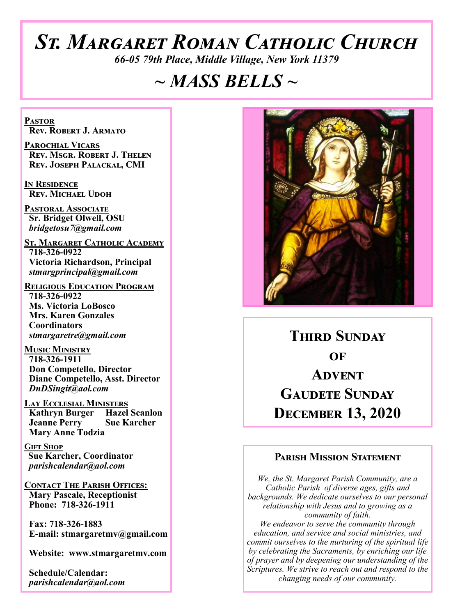# *St. Margaret Roman Catholic Church*

*66-05 79th Place, Middle Village, New York 11379*

# *~ MASS BELLS ~*

**Pastor Rev. Robert J. Armato**

**Parochial Vicars Rev. Msgr. Robert J. Thelen Rev. Joseph Palackal, CMI**

**In Residence Rev. Michael Udoh**

**Pastoral Associate Sr. Bridget Olwell, OSU**  *bridgetosu7@gmail.com*

**St. Margaret Catholic Academy 718-326-0922 Victoria Richardson, Principal**  *stmargprincipal@gmail.com*

**Religious Education Program 718-326-0922 Ms. Victoria LoBosco Mrs. Karen Gonzales Coordinators** *stmargaretre@gmail.com*

**Music Ministry 718-326-1911 Don Competello, Director Diane Competello, Asst. Director** *DnDSingit@aol.com*

**Lay Ecclesial Ministers Kathryn Burger Hazel Scanlon Jeanne Perry Sue Karcher Mary Anne Todzia**

**Gift Shop Sue Karcher, Coordinator** *parishcalendar@aol.com*

**Contact The Parish Offices: Mary Pascale, Receptionist Phone: 718-326-1911** 

 **Fax: 718-326-1883 E-mail: stmargaretmv@gmail.com**

 **Website: www.stmargaretmv.com**

 **Schedule/Calendar:** *parishcalendar@aol.com* 



**THIRD SUNDAY of Advent Gaudete Sunday December 13, 2020** 

#### **Parish Mission Statement**

*We, the St. Margaret Parish Community, are a Catholic Parish of diverse ages, gifts and backgrounds. We dedicate ourselves to our personal relationship with Jesus and to growing as a community of faith. We endeavor to serve the community through education, and service and social ministries, and commit ourselves to the nurturing of the spiritual life by celebrating the Sacraments, by enriching our life of prayer and by deepening our understanding of the Scriptures. We strive to reach out and respond to the changing needs of our community.*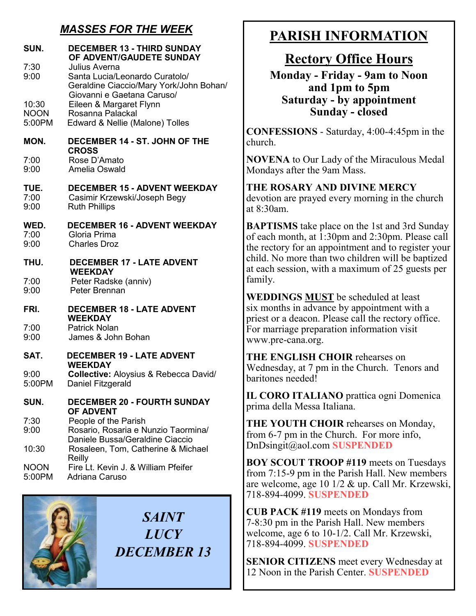# *MASSES FOR THE WEEK*

| SUN.<br>7:30<br>9:00<br>10:30<br><b>NOON</b><br>5:00PM | <b>DECEMBER 13 - THIRD SUNDAY</b><br>OF ADVENT/GAUDETE SUNDAY<br>Julius Averna<br>Santa Lucia/Leonardo Curatolo/<br>Geraldine Ciaccio/Mary York/John Bohan/<br>Giovanni e Gaetana Caruso/<br>Eileen & Margaret Flynn<br>Rosanna Palackal<br>Edward & Nellie (Malone) Tolles |  |
|--------------------------------------------------------|-----------------------------------------------------------------------------------------------------------------------------------------------------------------------------------------------------------------------------------------------------------------------------|--|
| MON.                                                   | <b>DECEMBER 14 - ST. JOHN OF THE</b><br><b>CROSS</b>                                                                                                                                                                                                                        |  |
| 7:00<br>9:00                                           | Rose D'Amato<br>Amelia Oswald                                                                                                                                                                                                                                               |  |
| TUE.<br>7:00<br>9:00                                   | <b>DECEMBER 15 - ADVENT WEEKDAY</b><br>Casimir Krzewski/Joseph Begy<br><b>Ruth Phillips</b>                                                                                                                                                                                 |  |
| WED.<br>7:00<br>9:00                                   | <b>DECEMBER 16 - ADVENT WEEKDAY</b><br>Gloria Prima<br><b>Charles Droz</b>                                                                                                                                                                                                  |  |
| THU.<br>7:00<br>9:00                                   | <b>DECEMBER 17 - LATE ADVENT</b><br><b>WEEKDAY</b><br>Peter Radske (anniv)<br>Peter Brennan                                                                                                                                                                                 |  |
| FRI.<br>7:00<br>9:00                                   | <b>DECEMBER 18 - LATE ADVENT</b><br><b>WEEKDAY</b><br><b>Patrick Nolan</b><br>James & John Bohan                                                                                                                                                                            |  |
| SAT.                                                   | <b>DECEMBER 19 - LATE ADVENT</b>                                                                                                                                                                                                                                            |  |
| 9:00<br>5:00PM                                         | <b>WEEKDAY</b><br>Collective: Aloysius & Rebecca David/<br>Daniel Fitzgerald                                                                                                                                                                                                |  |
| SUN.                                                   | <b>DECEMBER 20 - FOURTH SUNDAY</b><br><b>OF ADVENT</b>                                                                                                                                                                                                                      |  |
| 7:30<br>9:00                                           | People of the Parish<br>Rosario, Rosaria e Nunzio Taormina/<br>Daniele Bussa/Geraldine Ciaccio                                                                                                                                                                              |  |
| 10:30                                                  | Rosaleen, Tom, Catherine & Michael                                                                                                                                                                                                                                          |  |
| <b>NOON</b><br>5:00PM                                  | Reilly<br>Fire Lt. Kevin J. & William Pfeifer<br>Adriana Caruso                                                                                                                                                                                                             |  |

*SAINT LUCY DECEMBER 13*

# **PARISH INFORMATION**

# **Rectory Office Hours**

**Monday - Friday - 9am to Noon and 1pm to 5pm Saturday - by appointment Sunday - closed**

**CONFESSIONS** - Saturday, 4:00-4:45pm in the church.

**NOVENA** to Our Lady of the Miraculous Medal Mondays after the 9am Mass.

**THE ROSARY AND DIVINE MERCY** devotion are prayed every morning in the church at 8:30am.

**BAPTISMS** take place on the 1st and 3rd Sunday of each month, at 1:30pm and 2:30pm. Please call the rectory for an appointment and to register your child. No more than two children will be baptized at each session, with a maximum of 25 guests per family.

**WEDDINGS MUST** be scheduled at least six months in advance by appointment with a priest or a deacon. Please call the rectory office. For marriage preparation information visit www.pre-cana.org.

**THE ENGLISH CHOIR** rehearses on Wednesday, at 7 pm in the Church. Tenors and baritones needed!

**IL CORO ITALIANO** prattica ogni Domenica prima della Messa Italiana.

**THE YOUTH CHOIR** rehearses on Monday, from 6-7 pm in the Church. For more info, DnDsingit@aol.com **SUSPENDED**

**BOY SCOUT TROOP #119** meets on Tuesdays from 7:15-9 pm in the Parish Hall. New members are welcome, age 10 1/2 & up. Call Mr. Krzewski, 718-894-4099. **SUSPENDED**

**CUB PACK #119** meets on Mondays from 7-8:30 pm in the Parish Hall. New members welcome, age 6 to 10-1/2. Call Mr. Krzewski, 718-894-4099. **SUSPENDED**

**SENIOR CITIZENS** meet every Wednesday at 12 Noon in the Parish Center. **SUSPENDED**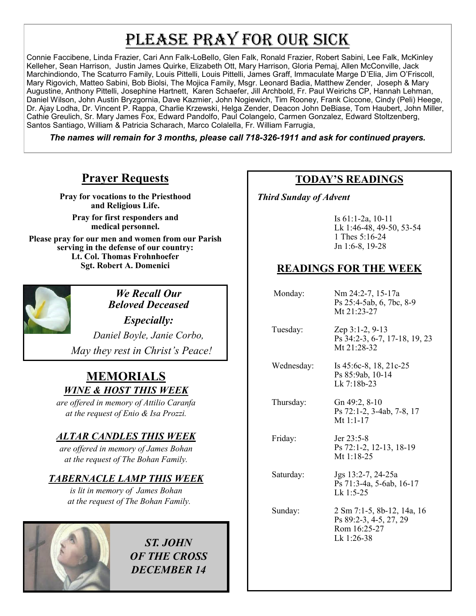# PLEASE PRAY FOR OUR SICK

Connie Faccibene, Linda Frazier, Cari Ann Falk-LoBello, Glen Falk, Ronald Frazier, Robert Sabini, Lee Falk, McKinley Kelleher, Sean Harrison, Justin James Quirke, Elizabeth Ott, Mary Harrison, Gloria Pemaj, Allen McConville, Jack Marchindiondo, The Scaturro Family, Louis Pittelli, Louis Pittelli, James Graff, Immaculate Marge D'Elia, Jim O'Friscoll, Mary Rigovich, Matteo Sabini, Bob Biolsi, The Mojica Family, Msgr. Leonard Badia, Matthew Zender, Joseph & Mary Augustine, Anthony Pittelli, Josephine Hartnett, Karen Schaefer, Jill Archbold, Fr. Paul Weirichs CP, Hannah Lehman, Daniel Wilson, John Austin Bryzgornia, Dave Kazmier, John Nogiewich, Tim Rooney, Frank Ciccone, Cindy (Peli) Heege, Dr. Ajay Lodha, Dr. Vincent P. Rappa, Charlie Krzewski, Helga Zender, Deacon John DeBiase, Tom Haubert, John Miller, Cathie Greulich, Sr. Mary James Fox, Edward Pandolfo, Paul Colangelo, Carmen Gonzalez, Edward Stoltzenberg, Santos Santiago, William & Patricia Scharach, Marco Colalella, Fr. William Farrugia,

*The names will remain for 3 months, please call 718-326-1911 and ask for continued prayers.*

# **Prayer Requests**

**Pray for vocations to the Priesthood and Religious Life.** 

**Pray for first responders and medical personnel.**

**Please pray for our men and women from our Parish serving in the defense of our country: Lt. Col. Thomas Frohnhoefer Sgt. Robert A. Domenici** 



*We Recall Our Beloved Deceased* 

*Especially: Daniel Boyle, Janie Corbo, May they rest in Christ's Peace!*

# **MEMORIALS** *WINE & HOST THIS WEEK*

*are offered in memory of Attilio Caranfa at the request of Enio & Isa Prozzi.*

#### *ALTAR CANDLES THIS WEEK*

*are offered in memory of James Bohan at the request of The Bohan Family.* 

## *TABERNACLE LAMP THIS WEEK*

*is lit in memory of James Bohan at the request of The Bohan Family.* 



*ST. JOHN OF THE CROSS DECEMBER 14*

## **TODAY'S READINGS**

 *Third Sunday of Advent* 

Is 61:1-2a, 10-11 Lk 1:46-48, 49-50, 53-54 1 Thes 5:16-24 Jn 1:6-8, 19-28

# **READINGS FOR THE WEEK**

| Monday:    | Nm 24:2-7, 15-17a<br>Ps 25:4-5ab, 6, 7bc, 8-9<br>Mt 21:23-27                       |
|------------|------------------------------------------------------------------------------------|
| Tuesday:   | Zep 3:1-2, 9-13<br>Ps 34:2-3, 6-7, 17-18, 19, 23<br>Mt $21:28-32$                  |
| Wednesday: | Is $45:6c-8$ , 18, 21c-25<br>Ps 85:9ab, 10-14<br>Lk 7:18b-23                       |
| Thursday:  | Gn 49:2, 8-10<br>Ps 72:1-2, 3-4ab, 7-8, 17<br>Mt 1:1-17                            |
| Friday:    | Jer $23:5-8$<br>Ps 72:1-2, 12-13, 18-19<br>Mt $1:18-25$                            |
| Saturday:  | Jgs 13:2-7, 24-25a<br>Ps 71:3-4a, 5-6ab, 16-17<br>$Lk$ 1:5-25                      |
| Sunday:    | 2 Sm 7:1-5, 8b-12, 14a, 16<br>Ps 89:2-3, 4-5, 27, 29<br>Rom 16:25-27<br>Lk 1:26-38 |
|            |                                                                                    |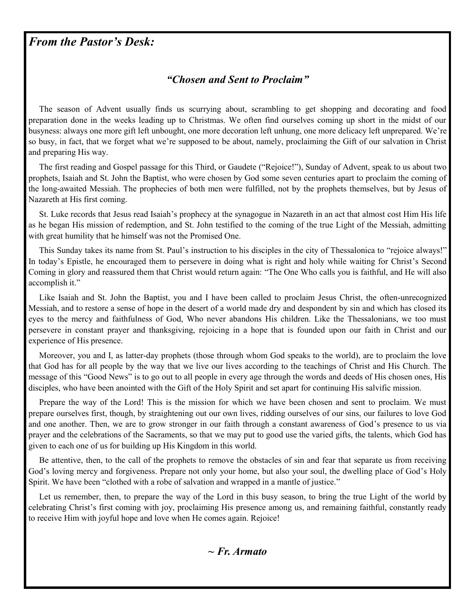# *From the Pastor's Desk:*

#### *"Chosen and Sent to Proclaim"*

 The season of Advent usually finds us scurrying about, scrambling to get shopping and decorating and food preparation done in the weeks leading up to Christmas. We often find ourselves coming up short in the midst of our busyness: always one more gift left unbought, one more decoration left unhung, one more delicacy left unprepared. We're so busy, in fact, that we forget what we're supposed to be about, namely, proclaiming the Gift of our salvation in Christ and preparing His way.

 The first reading and Gospel passage for this Third, or Gaudete ("Rejoice!"), Sunday of Advent, speak to us about two prophets, Isaiah and St. John the Baptist, who were chosen by God some seven centuries apart to proclaim the coming of the long-awaited Messiah. The prophecies of both men were fulfilled, not by the prophets themselves, but by Jesus of Nazareth at His first coming.

 St. Luke records that Jesus read Isaiah's prophecy at the synagogue in Nazareth in an act that almost cost Him His life as he began His mission of redemption, and St. John testified to the coming of the true Light of the Messiah, admitting with great humility that he himself was not the Promised One.

 This Sunday takes its name from St. Paul's instruction to his disciples in the city of Thessalonica to "rejoice always!" In today's Epistle, he encouraged them to persevere in doing what is right and holy while waiting for Christ's Second Coming in glory and reassured them that Christ would return again: "The One Who calls you is faithful, and He will also accomplish it."

 Like Isaiah and St. John the Baptist, you and I have been called to proclaim Jesus Christ, the often-unrecognized Messiah, and to restore a sense of hope in the desert of a world made dry and despondent by sin and which has closed its eyes to the mercy and faithfulness of God, Who never abandons His children. Like the Thessalonians, we too must persevere in constant prayer and thanksgiving, rejoicing in a hope that is founded upon our faith in Christ and our experience of His presence.

 Moreover, you and I, as latter-day prophets (those through whom God speaks to the world), are to proclaim the love that God has for all people by the way that we live our lives according to the teachings of Christ and His Church. The message of this "Good News" is to go out to all people in every age through the words and deeds of His chosen ones, His disciples, who have been anointed with the Gift of the Holy Spirit and set apart for continuing His salvific mission.

 Prepare the way of the Lord! This is the mission for which we have been chosen and sent to proclaim. We must prepare ourselves first, though, by straightening out our own lives, ridding ourselves of our sins, our failures to love God and one another. Then, we are to grow stronger in our faith through a constant awareness of God's presence to us via prayer and the celebrations of the Sacraments, so that we may put to good use the varied gifts, the talents, which God has given to each one of us for building up His Kingdom in this world.

 Be attentive, then, to the call of the prophets to remove the obstacles of sin and fear that separate us from receiving God's loving mercy and forgiveness. Prepare not only your home, but also your soul, the dwelling place of God's Holy Spirit. We have been "clothed with a robe of salvation and wrapped in a mantle of justice."

 Let us remember, then, to prepare the way of the Lord in this busy season, to bring the true Light of the world by celebrating Christ's first coming with joy, proclaiming His presence among us, and remaining faithful, constantly ready to receive Him with joyful hope and love when He comes again. Rejoice!

*~ Fr. Armato*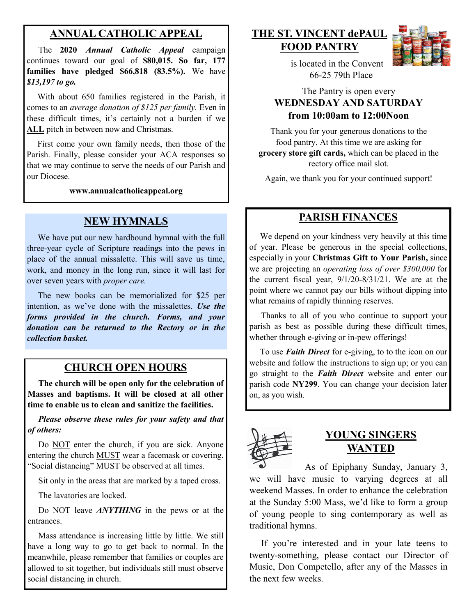## **ANNUAL CATHOLIC APPEAL**

 The **2020** *Annual Catholic Appeal* campaign continues toward our goal of **\$80,015. So far, 177 families have pledged \$66,818 (83.5%).** We have *\$13,197 to go.*

With about 650 families registered in the Parish, it comes to an *average donation of \$125 per family.* Even in these difficult times, it's certainly not a burden if we **ALL** pitch in between now and Christmas.

 First come your own family needs, then those of the Parish. Finally, please consider your ACA responses so that we may continue to serve the needs of our Parish and our Diocese.

**www.annualcatholicappeal.org** 

## **NEW HYMNALS**

 We have put our new hardbound hymnal with the full three-year cycle of Scripture readings into the pews in place of the annual missalette. This will save us time, work, and money in the long run, since it will last for over seven years with *proper care.*

 The new books can be memorialized for \$25 per intention, as we've done with the missalettes. *Use the forms provided in the church. Forms, and your donation can be returned to the Rectory or in the collection basket.*

# **CHURCH OPEN HOURS**

 **The church will be open only for the celebration of Masses and baptisms. It will be closed at all other time to enable us to clean and sanitize the facilities.**

*Please observe these rules for your safety and that of others:*

Do **NOT** enter the church, if you are sick. Anyone entering the church MUST wear a facemask or covering. "Social distancing" MUST be observed at all times.

Sit only in the areas that are marked by a taped cross.

The lavatories are locked.

 Do NOT leave *ANYTHING* in the pews or at the entrances.

 Mass attendance is increasing little by little. We still have a long way to go to get back to normal. In the meanwhile, please remember that families or couples are allowed to sit together, but individuals still must observe social distancing in church.

#### **THE ST. VINCENT dePAUL FOOD PANTRY**



 is located in the Convent 66-25 79th Place

#### The Pantry is open every **WEDNESDAY AND SATURDAY from 10:00am to 12:00Noon**

Thank you for your generous donations to the food pantry. At this time we are asking for **grocery store gift cards,** which can be placed in the rectory office mail slot.

Again, we thank you for your continued support!

#### **PARISH FINANCES**

 We depend on your kindness very heavily at this time of year. Please be generous in the special collections, especially in your **Christmas Gift to Your Parish,** since we are projecting an *operating loss of over \$300,000* for the current fiscal year, 9/1/20-8/31/21. We are at the point where we cannot pay our bills without dipping into what remains of rapidly thinning reserves.

 Thanks to all of you who continue to support your parish as best as possible during these difficult times, whether through e-giving or in-pew offerings!

 To use *Faith Direct* for e-giving, to to the icon on our website and follow the instructions to sign up; or you can go straight to the *Faith Direct* website and enter our parish code **NY299**. You can change your decision later on, as you wish.



## **YOUNG SINGERS WANTED**

 As of Epiphany Sunday, January 3, we will have music to varying degrees at all weekend Masses. In order to enhance the celebration at the Sunday 5:00 Mass, we'd like to form a group of young people to sing contemporary as well as traditional hymns.

 If you're interested and in your late teens to twenty-something, please contact our Director of Music, Don Competello, after any of the Masses in the next few weeks.